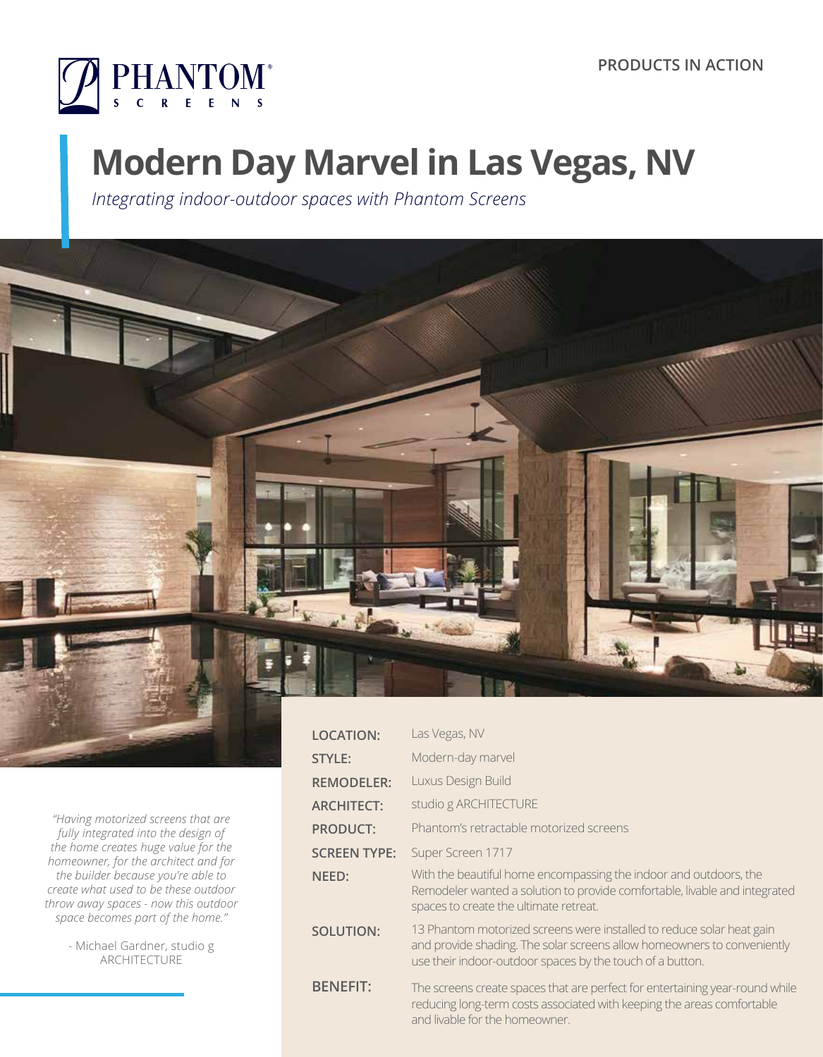

# **Modern Day Marvel in Las Vegas, NV**

*Integrating indoor-outdoor spaces with Phantom Screens*



*"Having motorized screens that are fully integrated into the design of the home creates huge value for the homeowner, for the architect and for the builder because you're able to create what used to be these outdoor throw away spaces - now this outdoor space becomes part of the home."*

> - Michael Gardner, studio g ARCHITECTURE

| <b>LOCATION:</b>    | Las Vegas, NV                                                                                                                                                                                                 |
|---------------------|---------------------------------------------------------------------------------------------------------------------------------------------------------------------------------------------------------------|
| <b>STYLE:</b>       | Modern-day marvel                                                                                                                                                                                             |
| <b>REMODELER:</b>   | Luxus Design Build                                                                                                                                                                                            |
| <b>ARCHITECT:</b>   | studio g ARCHITECTURE                                                                                                                                                                                         |
| <b>PRODUCT:</b>     | Phantom's retractable motorized screens                                                                                                                                                                       |
| <b>SCREEN TYPE:</b> | Super Screen 1717                                                                                                                                                                                             |
| NEED:               | With the beautiful home encompassing the indoor and outdoors, the<br>Remodeler wanted a solution to provide comfortable, livable and integrated<br>spaces to create the ultimate retreat.                     |
| <b>SOLUTION:</b>    | 13 Phantom motorized screens were installed to reduce solar heat gain<br>and provide shading. The solar screens allow homeowners to conveniently<br>use their indoor-outdoor spaces by the touch of a button. |
| <b>BENEFIT:</b>     | The screens create spaces that are perfect for entertaining year-round while<br>reducing long-term costs associated with keeping the areas comfortable<br>and livable for the homeowner.                      |